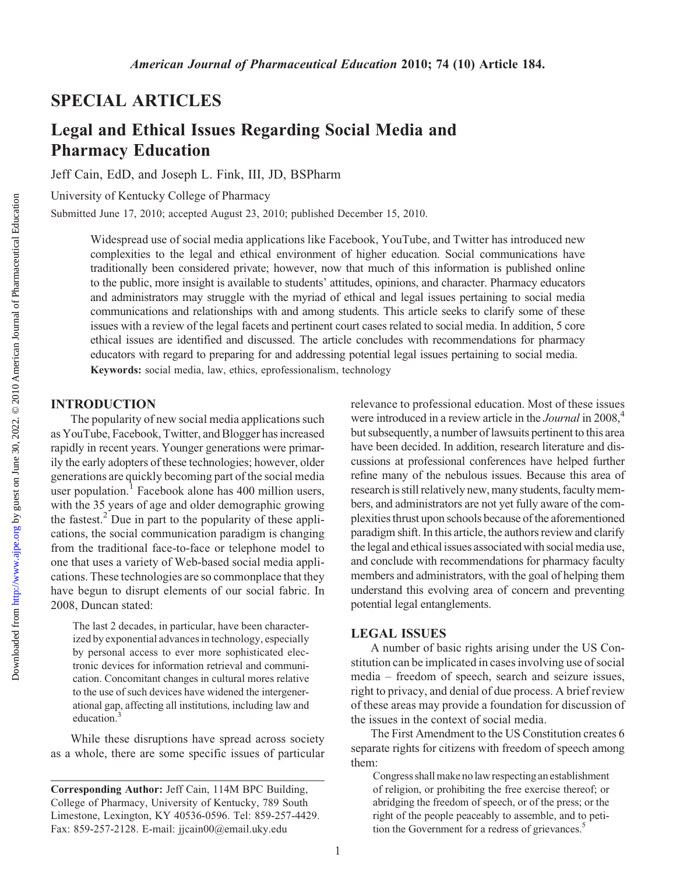# SPECIAL ARTICLES

# Legal and Ethical Issues Regarding Social Media and Pharmacy Education

Jeff Cain, EdD, and Joseph L. Fink, III, JD, BSPharm

University of Kentucky College of Pharmacy

Submitted June 17, 2010; accepted August 23, 2010; published December 15, 2010.

Widespread use of social media applications like Facebook, YouTube, and Twitter has introduced new complexities to the legal and ethical environment of higher education. Social communications have traditionally been considered private; however, now that much of this information is published online to the public, more insight is available to students' attitudes, opinions, and character. Pharmacy educators and administrators may struggle with the myriad of ethical and legal issues pertaining to social media communications and relationships with and among students. This article seeks to clarify some of these issues with a review of the legal facets and pertinent court cases related to social media. In addition, 5 core ethical issues are identified and discussed. The article concludes with recommendations for pharmacy educators with regard to preparing for and addressing potential legal issues pertaining to social media. Keywords: social media, law, ethics, eprofessionalism, technology

### INTRODUCTION

The popularity of new social media applications such as YouTube, Facebook, Twitter, and Blogger has increased rapidly in recent years. Younger generations were primarily the early adopters of these technologies; however, older generations are quickly becoming part of the social media user population. $<sup>1</sup>$  Facebook alone has 400 million users,</sup> with the 35 years of age and older demographic growing the fastest.<sup>2</sup> Due in part to the popularity of these applications, the social communication paradigm is changing from the traditional face-to-face or telephone model to one that uses a variety of Web-based social media applications. These technologies are so commonplace that they have begun to disrupt elements of our social fabric. In 2008, Duncan stated:

The last 2 decades, in particular, have been characterized by exponential advances in technology, especially by personal access to ever more sophisticated electronic devices for information retrieval and communication. Concomitant changes in cultural mores relative to the use of such devices have widened the intergenerational gap, affecting all institutions, including law and education.<sup>3</sup>

While these disruptions have spread across society as a whole, there are some specific issues of particular relevance to professional education. Most of these issues were introduced in a review article in the *Journal* in 2008,<sup>4</sup> but subsequently, a number of lawsuits pertinent to this area have been decided. In addition, research literature and discussions at professional conferences have helped further refine many of the nebulous issues. Because this area of research is still relatively new, many students, faculty members, and administrators are not yet fully aware of the complexities thrust upon schools because of the aforementioned paradigm shift. In this article, the authors review and clarify the legal and ethical issues associated with social media use, and conclude with recommendations for pharmacy faculty members and administrators, with the goal of helping them understand this evolving area of concern and preventing potential legal entanglements.

### LEGAL ISSUES

A number of basic rights arising under the US Constitution can be implicated in cases involving use of social media – freedom of speech, search and seizure issues, right to privacy, and denial of due process. A brief review of these areas may provide a foundation for discussion of the issues in the context of social media.

The First Amendment to the US Constitution creates 6 separate rights for citizens with freedom of speech among them:

Congress shall make no law respecting an establishment of religion, or prohibiting the free exercise thereof; or abridging the freedom of speech, or of the press; or the right of the people peaceably to assemble, and to petition the Government for a redress of grievances.<sup>5</sup>

Corresponding Author: Jeff Cain, 114M BPC Building, College of Pharmacy, University of Kentucky, 789 South Limestone, Lexington, KY 40536-0596. Tel: 859-257-4429. Fax: 859-257-2128. E-mail: jjcain00@email.uky.edu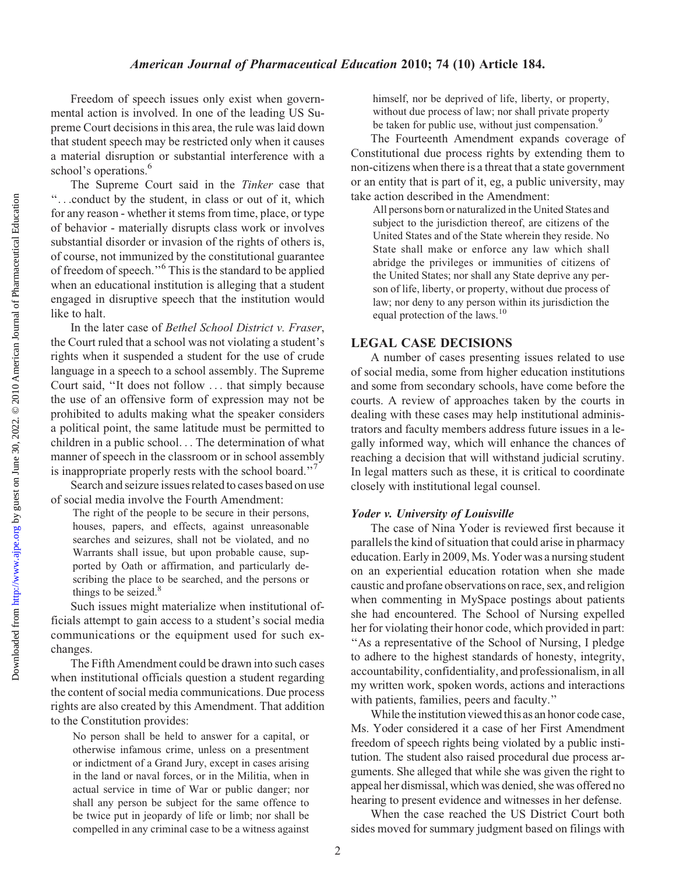#### American Journal of Pharmaceutical Education 2010; 74 (10) Article 184.

Freedom of speech issues only exist when governmental action is involved. In one of the leading US Supreme Court decisions in this area, the rule was laid down that student speech may be restricted only when it causes a material disruption or substantial interference with a school's operations.<sup>6</sup>

The Supreme Court said in the Tinker case that ''...conduct by the student, in class or out of it, which for any reason - whether it stems from time, place, or type of behavior - materially disrupts class work or involves substantial disorder or invasion of the rights of others is, of course, not immunized by the constitutional guarantee of freedom of speech.''6 This is the standard to be applied when an educational institution is alleging that a student engaged in disruptive speech that the institution would like to halt.

In the later case of Bethel School District v. Fraser, the Court ruled that a school was not violating a student's rights when it suspended a student for the use of crude language in a speech to a school assembly. The Supreme Court said, ''It does not follow ... that simply because the use of an offensive form of expression may not be prohibited to adults making what the speaker considers a political point, the same latitude must be permitted to children in a public school... The determination of what manner of speech in the classroom or in school assembly is inappropriate properly rests with the school board.<sup>"7</sup>

Search and seizure issues related to cases based on use of social media involve the Fourth Amendment:

The right of the people to be secure in their persons, houses, papers, and effects, against unreasonable searches and seizures, shall not be violated, and no Warrants shall issue, but upon probable cause, supported by Oath or affirmation, and particularly describing the place to be searched, and the persons or things to be seized.<sup>8</sup>

Such issues might materialize when institutional officials attempt to gain access to a student's social media communications or the equipment used for such exchanges.

The Fifth Amendment could be drawn into such cases when institutional officials question a student regarding the content of social media communications. Due process rights are also created by this Amendment. That addition to the Constitution provides:

No person shall be held to answer for a capital, or otherwise infamous crime, unless on a presentment or indictment of a Grand Jury, except in cases arising in the land or naval forces, or in the Militia, when in actual service in time of War or public danger; nor shall any person be subject for the same offence to be twice put in jeopardy of life or limb; nor shall be compelled in any criminal case to be a witness against himself, nor be deprived of life, liberty, or property, without due process of law; nor shall private property be taken for public use, without just compensation.<sup>9</sup>

The Fourteenth Amendment expands coverage of Constitutional due process rights by extending them to non-citizens when there is a threat that a state government or an entity that is part of it, eg, a public university, may take action described in the Amendment:

All persons born or naturalized in the United States and subject to the jurisdiction thereof, are citizens of the United States and of the State wherein they reside. No State shall make or enforce any law which shall abridge the privileges or immunities of citizens of the United States; nor shall any State deprive any person of life, liberty, or property, without due process of law; nor deny to any person within its jurisdiction the equal protection of the laws.<sup>10</sup>

### LEGAL CASE DECISIONS

A number of cases presenting issues related to use of social media, some from higher education institutions and some from secondary schools, have come before the courts. A review of approaches taken by the courts in dealing with these cases may help institutional administrators and faculty members address future issues in a legally informed way, which will enhance the chances of reaching a decision that will withstand judicial scrutiny. In legal matters such as these, it is critical to coordinate closely with institutional legal counsel.

#### Yoder v. University of Louisville

The case of Nina Yoder is reviewed first because it parallels the kind of situation that could arise in pharmacy education. Early in 2009, Ms. Yoder was a nursing student on an experiential education rotation when she made caustic and profane observations on race, sex, and religion when commenting in MySpace postings about patients she had encountered. The School of Nursing expelled her for violating their honor code, which provided in part: ''As a representative of the School of Nursing, I pledge to adhere to the highest standards of honesty, integrity, accountability, confidentiality, and professionalism, in all my written work, spoken words, actions and interactions with patients, families, peers and faculty.''

While the institution viewed this as an honor code case, Ms. Yoder considered it a case of her First Amendment freedom of speech rights being violated by a public institution. The student also raised procedural due process arguments. She alleged that while she was given the right to appeal her dismissal, which was denied, she was offered no hearing to present evidence and witnesses in her defense.

When the case reached the US District Court both sides moved for summary judgment based on filings with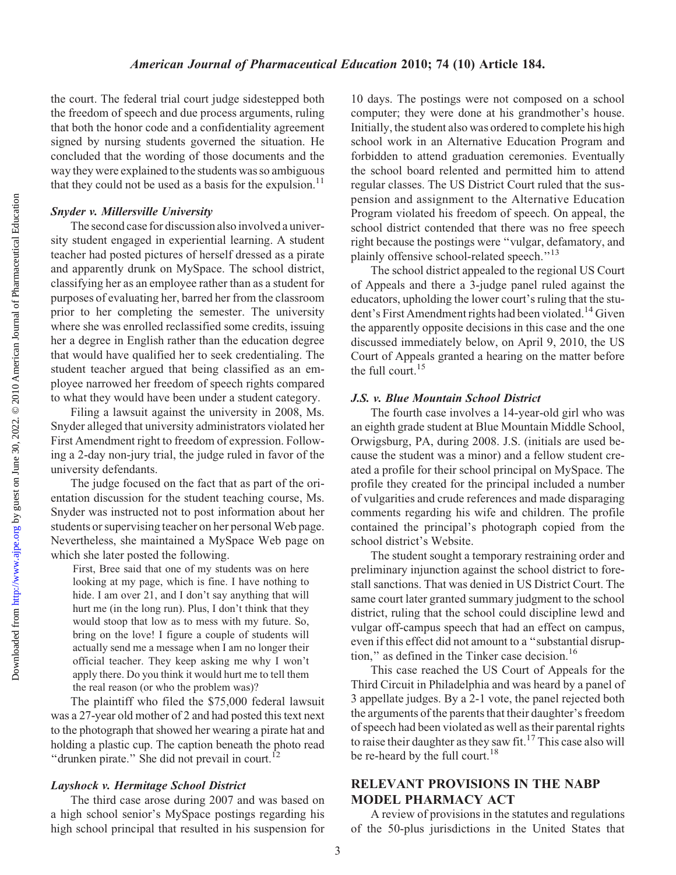the court. The federal trial court judge sidestepped both the freedom of speech and due process arguments, ruling that both the honor code and a confidentiality agreement signed by nursing students governed the situation. He concluded that the wording of those documents and the way they were explained to the students was so ambiguous that they could not be used as a basis for the expulsion.<sup>11</sup>

# Snyder v. Millersville University

The second case for discussion also involved a university student engaged in experiential learning. A student teacher had posted pictures of herself dressed as a pirate and apparently drunk on MySpace. The school district, classifying her as an employee rather than as a student for purposes of evaluating her, barred her from the classroom prior to her completing the semester. The university where she was enrolled reclassified some credits, issuing her a degree in English rather than the education degree that would have qualified her to seek credentialing. The student teacher argued that being classified as an employee narrowed her freedom of speech rights compared to what they would have been under a student category.

Filing a lawsuit against the university in 2008, Ms. Snyder alleged that university administrators violated her First Amendment right to freedom of expression. Following a 2-day non-jury trial, the judge ruled in favor of the university defendants.

The judge focused on the fact that as part of the orientation discussion for the student teaching course, Ms. Snyder was instructed not to post information about her students or supervising teacher on her personal Web page. Nevertheless, she maintained a MySpace Web page on which she later posted the following.

First, Bree said that one of my students was on here looking at my page, which is fine. I have nothing to hide. I am over 21, and I don't say anything that will hurt me (in the long run). Plus, I don't think that they would stoop that low as to mess with my future. So, bring on the love! I figure a couple of students will actually send me a message when I am no longer their official teacher. They keep asking me why I won't apply there. Do you think it would hurt me to tell them the real reason (or who the problem was)?

The plaintiff who filed the \$75,000 federal lawsuit was a 27-year old mother of 2 and had posted this text next to the photograph that showed her wearing a pirate hat and holding a plastic cup. The caption beneath the photo read "drunken pirate." She did not prevail in court.<sup>12</sup>

# Layshock v. Hermitage School District

The third case arose during 2007 and was based on a high school senior's MySpace postings regarding his high school principal that resulted in his suspension for

10 days. The postings were not composed on a school computer; they were done at his grandmother's house. Initially, the student also was ordered to complete his high school work in an Alternative Education Program and forbidden to attend graduation ceremonies. Eventually the school board relented and permitted him to attend regular classes. The US District Court ruled that the suspension and assignment to the Alternative Education Program violated his freedom of speech. On appeal, the school district contended that there was no free speech right because the postings were ''vulgar, defamatory, and plainly offensive school-related speech.''13

The school district appealed to the regional US Court of Appeals and there a 3-judge panel ruled against the educators, upholding the lower court's ruling that the student's First Amendment rights had been violated.<sup>14</sup> Given the apparently opposite decisions in this case and the one discussed immediately below, on April 9, 2010, the US Court of Appeals granted a hearing on the matter before the full court.15

# J.S. v. Blue Mountain School District

The fourth case involves a 14-year-old girl who was an eighth grade student at Blue Mountain Middle School, Orwigsburg, PA, during 2008. J.S. (initials are used because the student was a minor) and a fellow student created a profile for their school principal on MySpace. The profile they created for the principal included a number of vulgarities and crude references and made disparaging comments regarding his wife and children. The profile contained the principal's photograph copied from the school district's Website.

The student sought a temporary restraining order and preliminary injunction against the school district to forestall sanctions. That was denied in US District Court. The same court later granted summary judgment to the school district, ruling that the school could discipline lewd and vulgar off-campus speech that had an effect on campus, even if this effect did not amount to a ''substantial disruption," as defined in the Tinker case decision.<sup>16</sup>

This case reached the US Court of Appeals for the Third Circuit in Philadelphia and was heard by a panel of 3 appellate judges. By a 2-1 vote, the panel rejected both the arguments of the parents that their daughter's freedom of speech had been violated as well as their parental rights to raise their daughter as they saw fit.<sup>17</sup> This case also will be re-heard by the full court.<sup>18</sup>

# RELEVANT PROVISIONS IN THE NABP MODEL PHARMACY ACT

A review of provisions in the statutes and regulations of the 50-plus jurisdictions in the United States that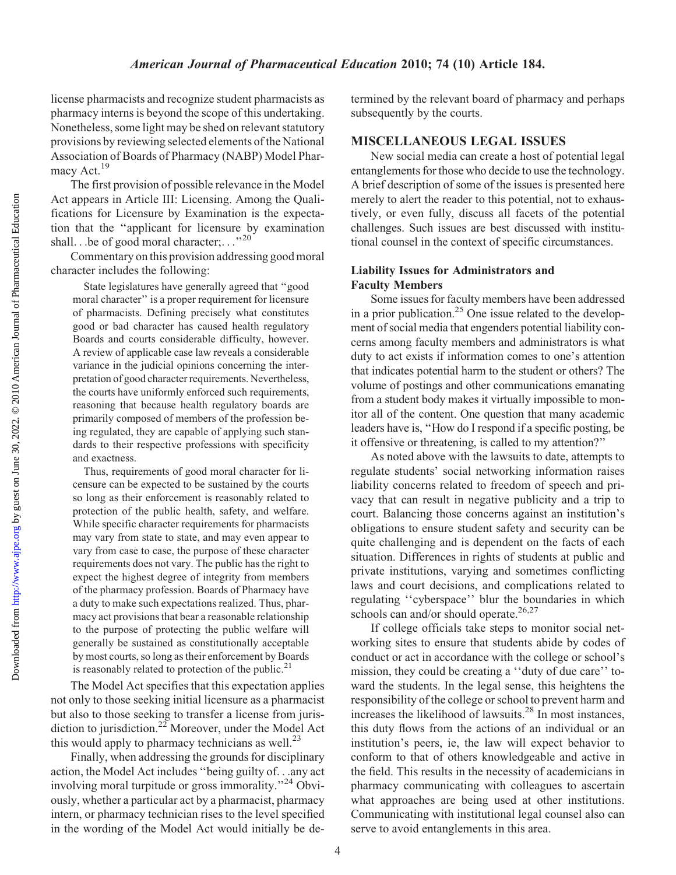#### American Journal of Pharmaceutical Education 2010; 74 (10) Article 184.

license pharmacists and recognize student pharmacists as pharmacy interns is beyond the scope of this undertaking. Nonetheless, some light may be shed on relevant statutory provisions by reviewing selected elements of the National Association of Boards of Pharmacy (NABP) Model Pharmacy Act.<sup>19</sup>

The first provision of possible relevance in the Model Act appears in Article III: Licensing. Among the Qualifications for Licensure by Examination is the expectation that the ''applicant for licensure by examination shall...be of good moral character;..."<sup>20</sup>

Commentary on this provision addressing good moral character includes the following:

State legislatures have generally agreed that ''good moral character'' is a proper requirement for licensure of pharmacists. Defining precisely what constitutes good or bad character has caused health regulatory Boards and courts considerable difficulty, however. A review of applicable case law reveals a considerable variance in the judicial opinions concerning the interpretation of good character requirements. Nevertheless, the courts have uniformly enforced such requirements, reasoning that because health regulatory boards are primarily composed of members of the profession being regulated, they are capable of applying such standards to their respective professions with specificity and exactness.

Thus, requirements of good moral character for licensure can be expected to be sustained by the courts so long as their enforcement is reasonably related to protection of the public health, safety, and welfare. While specific character requirements for pharmacists may vary from state to state, and may even appear to vary from case to case, the purpose of these character requirements does not vary. The public has the right to expect the highest degree of integrity from members of the pharmacy profession. Boards of Pharmacy have a duty to make such expectations realized. Thus, pharmacy act provisions that bear a reasonable relationship to the purpose of protecting the public welfare will generally be sustained as constitutionally acceptable by most courts, so long as their enforcement by Boards is reasonably related to protection of the public. $2<sup>1</sup>$ 

The Model Act specifies that this expectation applies not only to those seeking initial licensure as a pharmacist but also to those seeking to transfer a license from jurisdiction to jurisdiction.<sup>22</sup> Moreover, under the Model Act this would apply to pharmacy technicians as well.<sup>23</sup>

Finally, when addressing the grounds for disciplinary action, the Model Act includes ''being guilty of...any act involving moral turpitude or gross immorality. $12<sup>24</sup>$  Obviously, whether a particular act by a pharmacist, pharmacy intern, or pharmacy technician rises to the level specified in the wording of the Model Act would initially be determined by the relevant board of pharmacy and perhaps subsequently by the courts.

### MISCELLANEOUS LEGAL ISSUES

New social media can create a host of potential legal entanglements for those who decide to use the technology. A brief description of some of the issues is presented here merely to alert the reader to this potential, not to exhaustively, or even fully, discuss all facets of the potential challenges. Such issues are best discussed with institutional counsel in the context of specific circumstances.

## Liability Issues for Administrators and Faculty Members

Some issues for faculty members have been addressed in a prior publication.<sup>25</sup> One issue related to the development of social media that engenders potential liability concerns among faculty members and administrators is what duty to act exists if information comes to one's attention that indicates potential harm to the student or others? The volume of postings and other communications emanating from a student body makes it virtually impossible to monitor all of the content. One question that many academic leaders have is, ''How do I respond if a specific posting, be it offensive or threatening, is called to my attention?''

As noted above with the lawsuits to date, attempts to regulate students' social networking information raises liability concerns related to freedom of speech and privacy that can result in negative publicity and a trip to court. Balancing those concerns against an institution's obligations to ensure student safety and security can be quite challenging and is dependent on the facts of each situation. Differences in rights of students at public and private institutions, varying and sometimes conflicting laws and court decisions, and complications related to regulating ''cyberspace'' blur the boundaries in which schools can and/or should operate.<sup>26,27</sup>

If college officials take steps to monitor social networking sites to ensure that students abide by codes of conduct or act in accordance with the college or school's mission, they could be creating a ''duty of due care'' toward the students. In the legal sense, this heightens the responsibility of the college or school to prevent harm and increases the likelihood of lawsuits.28 In most instances, this duty flows from the actions of an individual or an institution's peers, ie, the law will expect behavior to conform to that of others knowledgeable and active in the field. This results in the necessity of academicians in pharmacy communicating with colleagues to ascertain what approaches are being used at other institutions. Communicating with institutional legal counsel also can serve to avoid entanglements in this area.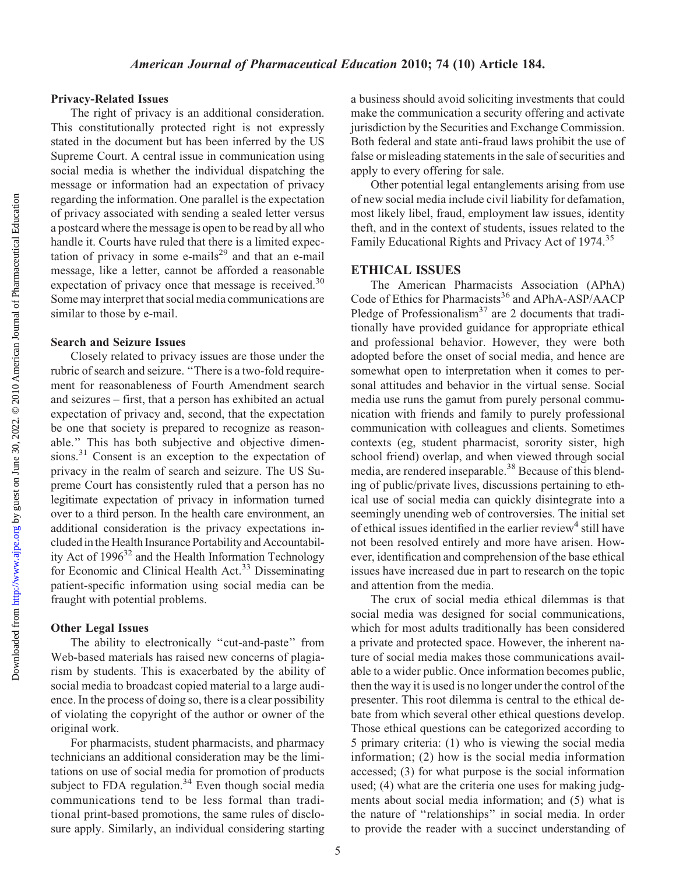# Privacy-Related Issues

The right of privacy is an additional consideration. This constitutionally protected right is not expressly stated in the document but has been inferred by the US Supreme Court. A central issue in communication using social media is whether the individual dispatching the message or information had an expectation of privacy regarding the information. One parallel is the expectation of privacy associated with sending a sealed letter versus a postcard where the message is open to be read by all who handle it. Courts have ruled that there is a limited expectation of privacy in some  $e$ -mails<sup>29</sup> and that an  $e$ -mail message, like a letter, cannot be afforded a reasonable expectation of privacy once that message is received.<sup>30</sup> Some may interpret that social media communications are similar to those by e-mail.

### Search and Seizure Issues

Closely related to privacy issues are those under the rubric of search and seizure. ''There is a two-fold requirement for reasonableness of Fourth Amendment search and seizures – first, that a person has exhibited an actual expectation of privacy and, second, that the expectation be one that society is prepared to recognize as reasonable.'' This has both subjective and objective dimensions.<sup>31</sup> Consent is an exception to the expectation of privacy in the realm of search and seizure. The US Supreme Court has consistently ruled that a person has no legitimate expectation of privacy in information turned over to a third person. In the health care environment, an additional consideration is the privacy expectations included in the Health Insurance Portability and Accountability Act of  $1996^{32}$  and the Health Information Technology for Economic and Clinical Health Act.<sup>33</sup> Disseminating patient-specific information using social media can be fraught with potential problems.

# Other Legal Issues

The ability to electronically ''cut-and-paste'' from Web-based materials has raised new concerns of plagiarism by students. This is exacerbated by the ability of social media to broadcast copied material to a large audience. In the process of doing so, there is a clear possibility of violating the copyright of the author or owner of the original work.

For pharmacists, student pharmacists, and pharmacy technicians an additional consideration may be the limitations on use of social media for promotion of products subject to FDA regulation. $34$  Even though social media communications tend to be less formal than traditional print-based promotions, the same rules of disclosure apply. Similarly, an individual considering starting a business should avoid soliciting investments that could make the communication a security offering and activate jurisdiction by the Securities and Exchange Commission. Both federal and state anti-fraud laws prohibit the use of false or misleading statements in the sale of securities and apply to every offering for sale.

Other potential legal entanglements arising from use of new social media include civil liability for defamation, most likely libel, fraud, employment law issues, identity theft, and in the context of students, issues related to the Family Educational Rights and Privacy Act of 1974.<sup>35</sup>

# ETHICAL ISSUES

The American Pharmacists Association (APhA) Code of Ethics for Pharmacists<sup>36</sup> and APhA-ASP/AACP Pledge of Professionalism<sup>37</sup> are 2 documents that traditionally have provided guidance for appropriate ethical and professional behavior. However, they were both adopted before the onset of social media, and hence are somewhat open to interpretation when it comes to personal attitudes and behavior in the virtual sense. Social media use runs the gamut from purely personal communication with friends and family to purely professional communication with colleagues and clients. Sometimes contexts (eg, student pharmacist, sorority sister, high school friend) overlap, and when viewed through social media, are rendered inseparable.38 Because of this blending of public/private lives, discussions pertaining to ethical use of social media can quickly disintegrate into a seemingly unending web of controversies. The initial set of ethical issues identified in the earlier review<sup>4</sup> still have not been resolved entirely and more have arisen. However, identification and comprehension of the base ethical issues have increased due in part to research on the topic and attention from the media.

The crux of social media ethical dilemmas is that social media was designed for social communications, which for most adults traditionally has been considered a private and protected space. However, the inherent nature of social media makes those communications available to a wider public. Once information becomes public, then the way it is used is no longer under the control of the presenter. This root dilemma is central to the ethical debate from which several other ethical questions develop. Those ethical questions can be categorized according to 5 primary criteria: (1) who is viewing the social media information; (2) how is the social media information accessed; (3) for what purpose is the social information used; (4) what are the criteria one uses for making judgments about social media information; and (5) what is the nature of ''relationships'' in social media. In order to provide the reader with a succinct understanding of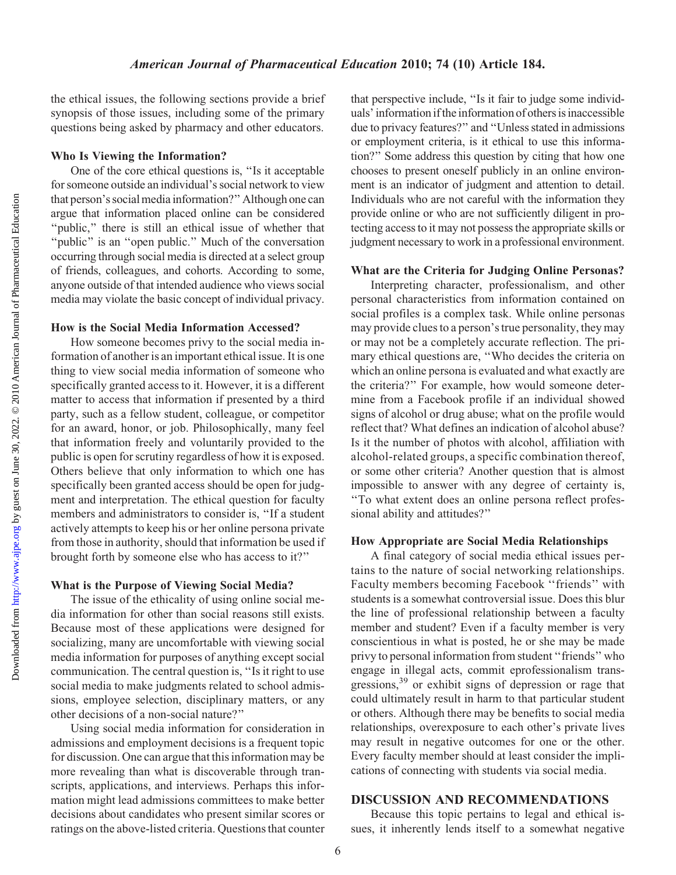<http://www.ajpe.org>

Downloaded from

the ethical issues, the following sections provide a brief synopsis of those issues, including some of the primary questions being asked by pharmacy and other educators.

### Who Is Viewing the Information?

One of the core ethical questions is, ''Is it acceptable for someone outside an individual's social network to view that person's social media information?'' Although one can argue that information placed online can be considered "public," there is still an ethical issue of whether that "public" is an "open public." Much of the conversation occurring through social media is directed at a select group of friends, colleagues, and cohorts. According to some, anyone outside of that intended audience who views social media may violate the basic concept of individual privacy.

## How is the Social Media Information Accessed?

How someone becomes privy to the social media information of another is an important ethical issue. It is one thing to view social media information of someone who specifically granted access to it. However, it is a different matter to access that information if presented by a third party, such as a fellow student, colleague, or competitor for an award, honor, or job. Philosophically, many feel that information freely and voluntarily provided to the public is open for scrutiny regardless of how it is exposed. Others believe that only information to which one has specifically been granted access should be open for judgment and interpretation. The ethical question for faculty members and administrators to consider is, ''If a student actively attempts to keep his or her online persona private from those in authority, should that information be used if brought forth by someone else who has access to it?''

### What is the Purpose of Viewing Social Media?

The issue of the ethicality of using online social media information for other than social reasons still exists. Because most of these applications were designed for socializing, many are uncomfortable with viewing social media information for purposes of anything except social communication. The central question is, ''Is it right to use social media to make judgments related to school admissions, employee selection, disciplinary matters, or any other decisions of a non-social nature?''

Using social media information for consideration in admissions and employment decisions is a frequent topic for discussion. One can argue that this information may be more revealing than what is discoverable through transcripts, applications, and interviews. Perhaps this information might lead admissions committees to make better decisions about candidates who present similar scores or ratings on the above-listed criteria. Questions that counter

that perspective include, ''Is it fair to judge some individuals' information if the information of others is inaccessible due to privacy features?'' and ''Unless stated in admissions or employment criteria, is it ethical to use this information?'' Some address this question by citing that how one chooses to present oneself publicly in an online environment is an indicator of judgment and attention to detail. Individuals who are not careful with the information they provide online or who are not sufficiently diligent in protecting access to it may not possess the appropriate skills or judgment necessary to work in a professional environment.

### What are the Criteria for Judging Online Personas?

Interpreting character, professionalism, and other personal characteristics from information contained on social profiles is a complex task. While online personas may provide clues to a person's true personality, they may or may not be a completely accurate reflection. The primary ethical questions are, ''Who decides the criteria on which an online persona is evaluated and what exactly are the criteria?'' For example, how would someone determine from a Facebook profile if an individual showed signs of alcohol or drug abuse; what on the profile would reflect that? What defines an indication of alcohol abuse? Is it the number of photos with alcohol, affiliation with alcohol-related groups, a specific combination thereof, or some other criteria? Another question that is almost impossible to answer with any degree of certainty is, ''To what extent does an online persona reflect professional ability and attitudes?''

# How Appropriate are Social Media Relationships

A final category of social media ethical issues pertains to the nature of social networking relationships. Faculty members becoming Facebook ''friends'' with students is a somewhat controversial issue. Does this blur the line of professional relationship between a faculty member and student? Even if a faculty member is very conscientious in what is posted, he or she may be made privy to personal information from student ''friends'' who engage in illegal acts, commit eprofessionalism transgressions,<sup>39</sup> or exhibit signs of depression or rage that could ultimately result in harm to that particular student or others. Although there may be benefits to social media relationships, overexposure to each other's private lives may result in negative outcomes for one or the other. Every faculty member should at least consider the implications of connecting with students via social media.

## DISCUSSION AND RECOMMENDATIONS

Because this topic pertains to legal and ethical issues, it inherently lends itself to a somewhat negative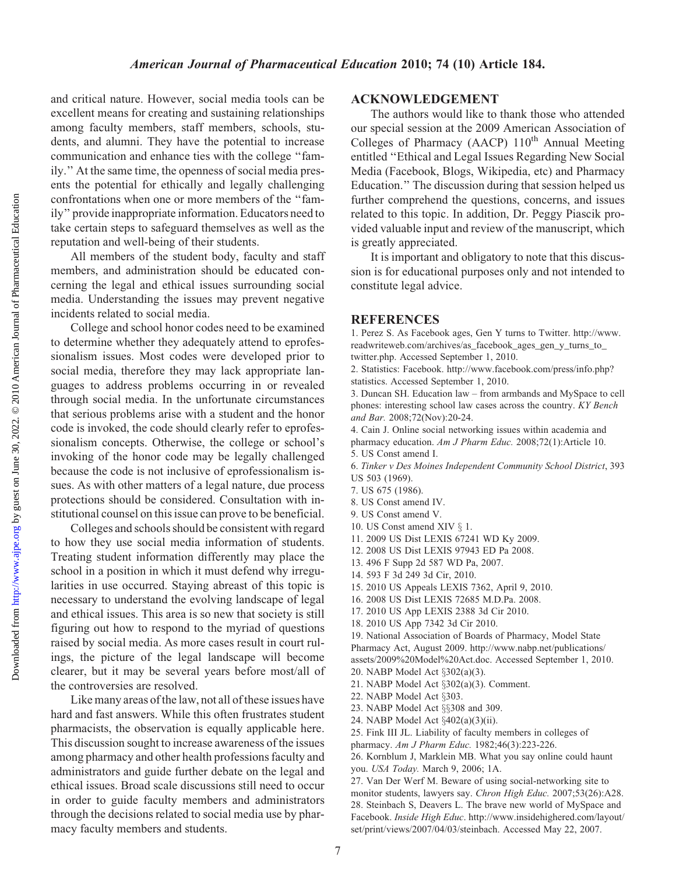and critical nature. However, social media tools can be excellent means for creating and sustaining relationships among faculty members, staff members, schools, students, and alumni. They have the potential to increase communication and enhance ties with the college ''family.'' At the same time, the openness of social media presents the potential for ethically and legally challenging confrontations when one or more members of the ''family'' provide inappropriate information. Educators need to take certain steps to safeguard themselves as well as the reputation and well-being of their students.

All members of the student body, faculty and staff members, and administration should be educated concerning the legal and ethical issues surrounding social media. Understanding the issues may prevent negative incidents related to social media.

College and school honor codes need to be examined to determine whether they adequately attend to eprofessionalism issues. Most codes were developed prior to social media, therefore they may lack appropriate languages to address problems occurring in or revealed through social media. In the unfortunate circumstances that serious problems arise with a student and the honor code is invoked, the code should clearly refer to eprofessionalism concepts. Otherwise, the college or school's invoking of the honor code may be legally challenged because the code is not inclusive of eprofessionalism issues. As with other matters of a legal nature, due process protections should be considered. Consultation with institutional counsel on this issue can prove to be beneficial.

Colleges and schools should be consistent with regard to how they use social media information of students. Treating student information differently may place the school in a position in which it must defend why irregularities in use occurred. Staying abreast of this topic is necessary to understand the evolving landscape of legal and ethical issues. This area is so new that society is still figuring out how to respond to the myriad of questions raised by social media. As more cases result in court rulings, the picture of the legal landscape will become clearer, but it may be several years before most/all of the controversies are resolved.

Like many areas of the law, not all of these issues have hard and fast answers. While this often frustrates student pharmacists, the observation is equally applicable here. This discussion sought to increase awareness of the issues among pharmacy and other health professions faculty and administrators and guide further debate on the legal and ethical issues. Broad scale discussions still need to occur in order to guide faculty members and administrators through the decisions related to social media use by pharmacy faculty members and students.

## ACKNOWLEDGEMENT

The authors would like to thank those who attended our special session at the 2009 American Association of Colleges of Pharmacy (AACP) 110<sup>th</sup> Annual Meeting entitled ''Ethical and Legal Issues Regarding New Social Media (Facebook, Blogs, Wikipedia, etc) and Pharmacy Education.'' The discussion during that session helped us further comprehend the questions, concerns, and issues related to this topic. In addition, Dr. Peggy Piascik provided valuable input and review of the manuscript, which is greatly appreciated.

It is important and obligatory to note that this discussion is for educational purposes only and not intended to constitute legal advice.

### **REFERENCES**

1. Perez S. As Facebook ages, Gen Y turns to Twitter. http://www. readwriteweb.com/archives/as\_facebook\_ages\_gen\_y\_turns\_to\_ twitter.php. Accessed September 1, 2010.

2. Statistics: Facebook. http://www.facebook.com/press/info.php? statistics. Accessed September 1, 2010.

3. Duncan SH. Education law – from armbands and MySpace to cell phones: interesting school law cases across the country. KY Bench and Bar. 2008;72(Nov):20-24.

4. Cain J. Online social networking issues within academia and pharmacy education. Am J Pharm Educ. 2008;72(1):Article 10. 5. US Const amend I.

6. Tinker v Des Moines Independent Community School District, 393 US 503 (1969).

7. US 675 (1986).

8. US Const amend IV.

9. US Const amend V.

10. US Const amend XIV  $\S$  1.

11. 2009 US Dist LEXIS 67241 WD Ky 2009.

12. 2008 US Dist LEXIS 97943 ED Pa 2008.

13. 496 F Supp 2d 587 WD Pa, 2007.

14. 593 F 3d 249 3d Cir, 2010.

15. 2010 US Appeals LEXIS 7362, April 9, 2010.

16. 2008 US Dist LEXIS 72685 M.D.Pa. 2008.

17. 2010 US App LEXIS 2388 3d Cir 2010.

18. 2010 US App 7342 3d Cir 2010.

19. National Association of Boards of Pharmacy, Model State Pharmacy Act, August 2009. http://www.nabp.net/publications/ assets/2009%20Model%20Act.doc. Accessed September 1, 2010. 20. NABP Model Act  $\S 302(a)(3)$ .

21. NABP Model Act  $\S 302(a)(3)$ . Comment.

22. NABP Model Act  $\S 303$ .

23. NABP Model Act §§308 and 309.

24. NABP Model Act  $\{402(a)(3)(ii)\}$ .

25. Fink III JL. Liability of faculty members in colleges of

pharmacy. Am J Pharm Educ. 1982;46(3):223-226.

26. Kornblum J, Marklein MB. What you say online could haunt you. USA Today. March 9, 2006; 1A.

27. Van Der Werf M. Beware of using social-networking site to monitor students, lawyers say. Chron High Educ. 2007;53(26):A28. 28. Steinbach S, Deavers L. The brave new world of MySpace and Facebook. Inside High Educ. http://www.insidehighered.com/layout/ set/print/views/2007/04/03/steinbach. Accessed May 22, 2007.